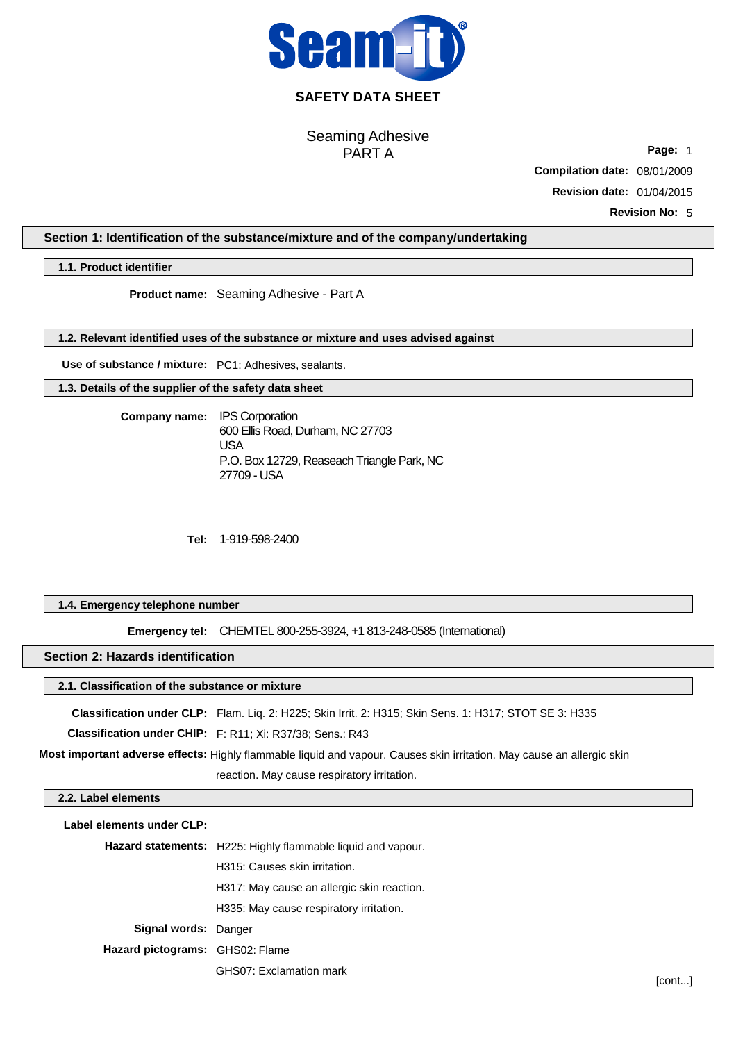

## **SAFETY DATA SHEET**

Seaming Adhesive PART A

**Page:** 1 **Compilation date:** 08/01/2009

**Revision date:** 01/04/2015

**Revision No:** 5

## **Section 1: Identification of the substance/mixture and of the company/undertaking**

**1.1. Product identifier**

**Product name:**  Seaming Adhesive - Part A

**1.2. Relevant identified uses of the substance or mixture and uses advised against**

**Use of substance / mixture:** PC1: Adhesives, sealants.

**1.3. Details of the supplier of the safety data sheet**

**Company name:** IPS Corporation 600 Ellis Road, Durham, NC 27703 USA P.O. Box 12729, Reaseach Triangle Park, NC 27709 - USA

**Tel:**  1-919-598-2400

## **1.4. Emergency telephone number**

**Emergency tel:**  CHEMTEL 800-255-3924, +1 813-248-0585 (International)

## **Section 2: Hazards identification**

## **2.1. Classification of the substance or mixture**

**Classification under CLP:** Flam. Liq. 2: H225; Skin Irrit. 2: H315; Skin Sens. 1: H317; STOT SE 3: H335

**Classification under CHIP:** F: R11; Xi: R37/38; Sens.: R43

**Most important adverse effects:** Highly flammable liquid and vapour. Causes skin irritation. May cause an allergic skin

reaction. May cause respiratory irritation.

#### **2.2. Label elements**

**Label elements under CLP: Hazard statements:** H225: Highly flammable liquid and vapour. H315: Causes skin irritation. H317: May cause an allergic skin reaction. H335: May cause respiratory irritation. **Signal words:** Danger **Hazard pictograms:** GHS02: Flame GHS07: Exclamation mark

[cont...]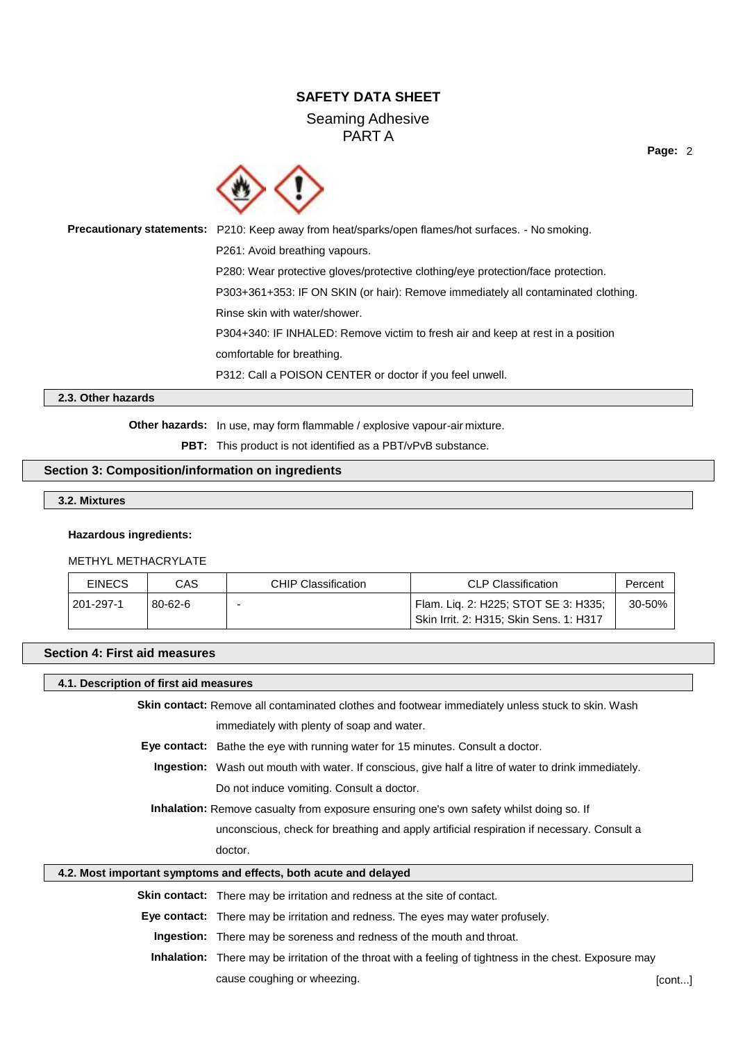## **SAFETY DATA SHEET**

## Seaming Adhesive PART A

**Page:** 2



**Precautionary statements:** P210: Keep away from heat/sparks/open flames/hot surfaces. - No smoking. P261: Avoid breathing vapours. P280: Wear protective gloves/protective clothing/eye protection/face protection. P303+361+353: IF ON SKIN (or hair): Remove immediately all contaminated clothing. Rinse skin with water/shower. P304+340: IF INHALED: Remove victim to fresh air and keep at rest in a position comfortable for breathing. P312: Call a POISON CENTER or doctor if you feel unwell.

#### **2.3. Other hazards**

**Other hazards:** In use, may form flammable / explosive vapour-air mixture.

PBT: This product is not identified as a PBT/vPvB substance.

### **Section 3: Composition/information on ingredients**

```
3.2. Mixtures
```
#### **Hazardous ingredients:**

#### METHYL METHACRYLATE

| <b>EINECS</b> | CAS           | <b>CHIP Classification</b> | <b>CLP Classification</b>               | Percent |
|---------------|---------------|----------------------------|-----------------------------------------|---------|
| 201-297-1     | $80 - 62 - 6$ |                            | Flam. Lig. 2: H225; STOT SE 3: H335;    | 30-50%  |
|               |               |                            | Skin Irrit. 2: H315; Skin Sens. 1: H317 |         |

## **Section 4: First aid measures**

#### **4.1. Description of first aid measures**

**Skin contact:** Remove all contaminated clothes and footwear immediately unless stuck to skin. Wash

immediately with plenty of soap and water.

**Eye contact:** Bathe the eye with running water for 15 minutes. Consult a doctor.

**Ingestion:** Wash out mouth with water. If conscious, give half a litre of water to drink immediately. Do not induce vomiting. Consult a doctor.

**Inhalation:** Remove casualty from exposure ensuring one's own safety whilst doing so. If

unconscious, check for breathing and apply artificial respiration if necessary. Consult a

doctor.

## **4.2. Most important symptoms and effects, both acute and delayed**

**Skin contact:** There may be irritation and redness at the site of contact.

**Eye contact:** There may be irritation and redness. The eyes may water profusely.

**Ingestion:** There may be soreness and redness of the mouth and throat.

**Inhalation:** There may be irritation of the throat with a feeling of tightness in the chest. Exposure may cause coughing or wheezing. The control of the control of the control of the control of the control of the control of the control of the control of the control of the control of the control of the control of the control of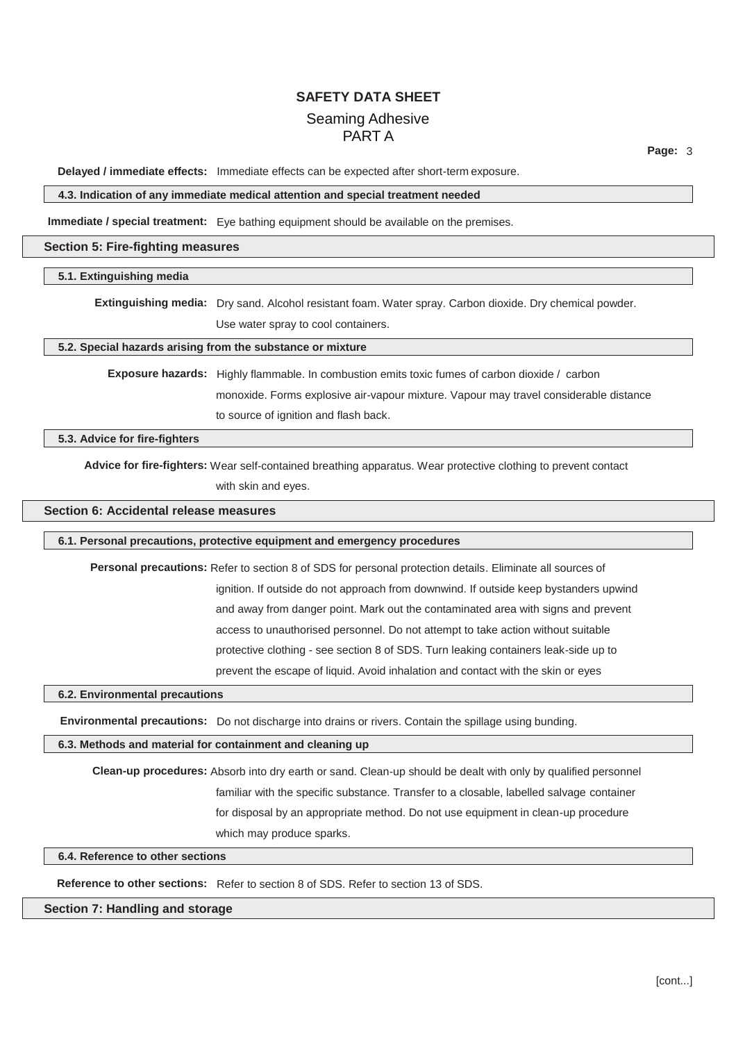**Page:** 3

**Delayed / immediate effects:** Immediate effects can be expected after short-term exposure.

#### **4.3. Indication of any immediate medical attention and special treatment needed**

**Immediate / special treatment:** Eye bathing equipment should be available on the premises.

#### **Section 5: Fire-fighting measures**

#### **5.1. Extinguishing media**

**Extinguishing media:** Dry sand. Alcohol resistant foam. Water spray. Carbon dioxide. Dry chemical powder.

Use water spray to cool containers.

### **5.2. Special hazards arising from the substance or mixture**

**Exposure hazards:** Highly flammable. In combustion emits toxic fumes of carbon dioxide / carbon monoxide. Forms explosive air-vapour mixture. Vapour may travel considerable distance to source of ignition and flash back.

**5.3. Advice for fire-fighters**

**Advice for fire-fighters:** Wear self-contained breathing apparatus. Wear protective clothing to prevent contact with skin and eyes.

## **Section 6: Accidental release measures**

#### **6.1. Personal precautions, protective equipment and emergency procedures**

**Personal precautions:** Refer to section 8 of SDS for personal protection details. Eliminate all sources of ignition. If outside do not approach from downwind. If outside keep bystanders upwind and away from danger point. Mark out the contaminated area with signs and prevent access to unauthorised personnel. Do not attempt to take action without suitable protective clothing - see section 8 of SDS. Turn leaking containers leak-side up to prevent the escape of liquid. Avoid inhalation and contact with the skin or eyes

#### **6.2. Environmental precautions**

**Environmental precautions:** Do not discharge into drains or rivers. Contain the spillage using bunding.

#### **6.3. Methods and material for containment and cleaning up**

**Clean-up procedures:** Absorb into dry earth or sand. Clean-up should be dealt with only by qualified personnel familiar with the specific substance. Transfer to a closable, labelled salvage container for disposal by an appropriate method. Do not use equipment in clean-up procedure which may produce sparks.

## **6.4. Reference to other sections**

**Reference to other sections:** Refer to section 8 of SDS. Refer to section 13 of SDS.

#### **Section 7: Handling and storage**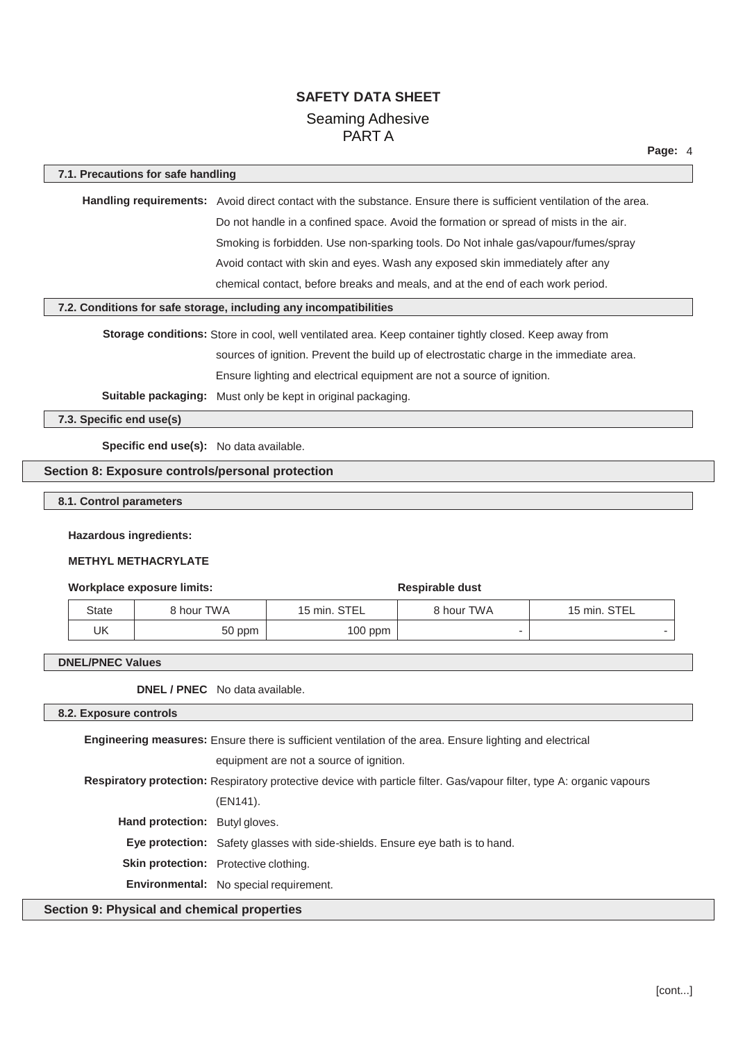| 7.1. Precautions for safe handling                                                                                                                  |        |                                                                                                                     |                        |              |  |  |
|-----------------------------------------------------------------------------------------------------------------------------------------------------|--------|---------------------------------------------------------------------------------------------------------------------|------------------------|--------------|--|--|
|                                                                                                                                                     |        | Handling requirements: Avoid direct contact with the substance. Ensure there is sufficient ventilation of the area. |                        |              |  |  |
|                                                                                                                                                     |        | Do not handle in a confined space. Avoid the formation or spread of mists in the air.                               |                        |              |  |  |
|                                                                                                                                                     |        | Smoking is forbidden. Use non-sparking tools. Do Not inhale gas/vapour/fumes/spray                                  |                        |              |  |  |
|                                                                                                                                                     |        | Avoid contact with skin and eyes. Wash any exposed skin immediately after any                                       |                        |              |  |  |
|                                                                                                                                                     |        | chemical contact, before breaks and meals, and at the end of each work period.                                      |                        |              |  |  |
| 7.2. Conditions for safe storage, including any incompatibilities                                                                                   |        |                                                                                                                     |                        |              |  |  |
|                                                                                                                                                     |        | Storage conditions: Store in cool, well ventilated area. Keep container tightly closed. Keep away from              |                        |              |  |  |
|                                                                                                                                                     |        | sources of ignition. Prevent the build up of electrostatic charge in the immediate area.                            |                        |              |  |  |
|                                                                                                                                                     |        | Ensure lighting and electrical equipment are not a source of ignition.                                              |                        |              |  |  |
|                                                                                                                                                     |        | Suitable packaging: Must only be kept in original packaging.                                                        |                        |              |  |  |
| 7.3. Specific end use(s)                                                                                                                            |        |                                                                                                                     |                        |              |  |  |
|                                                                                                                                                     |        |                                                                                                                     |                        |              |  |  |
| Specific end use(s): No data available.                                                                                                             |        |                                                                                                                     |                        |              |  |  |
| Section 8: Exposure controls/personal protection                                                                                                    |        |                                                                                                                     |                        |              |  |  |
| 8.1. Control parameters                                                                                                                             |        |                                                                                                                     |                        |              |  |  |
| <b>Hazardous ingredients:</b><br><b>METHYL METHACRYLATE</b><br><b>Workplace exposure limits:</b>                                                    |        |                                                                                                                     | <b>Respirable dust</b> |              |  |  |
| 8 hour TWA<br><b>State</b>                                                                                                                          |        | 15 min. STEL                                                                                                        | 8 hour TWA             | 15 min. STEL |  |  |
| <b>UK</b>                                                                                                                                           | 50 ppm | 100 ppm                                                                                                             |                        |              |  |  |
|                                                                                                                                                     |        |                                                                                                                     |                        |              |  |  |
| <b>DNEL/PNEC Values</b>                                                                                                                             |        |                                                                                                                     |                        |              |  |  |
| DNEL / PNEC No data available.                                                                                                                      |        |                                                                                                                     |                        |              |  |  |
| 8.2. Exposure controls                                                                                                                              |        |                                                                                                                     |                        |              |  |  |
| Engineering measures: Ensure there is sufficient ventilation of the area. Ensure lighting and electrical<br>equipment are not a source of ignition. |        |                                                                                                                     |                        |              |  |  |
|                                                                                                                                                     |        |                                                                                                                     |                        |              |  |  |
| Respiratory protection: Respiratory protective device with particle filter. Gas/vapour filter, type A: organic vapours<br>(EN141).                  |        |                                                                                                                     |                        |              |  |  |
|                                                                                                                                                     |        |                                                                                                                     |                        |              |  |  |
|                                                                                                                                                     |        |                                                                                                                     |                        |              |  |  |
| Hand protection: Butyl gloves.                                                                                                                      |        |                                                                                                                     |                        |              |  |  |
| Skin protection: Protective clothing.                                                                                                               |        | Eye protection: Safety glasses with side-shields. Ensure eye bath is to hand.                                       |                        |              |  |  |

## **Section 9: Physical and chemical properties**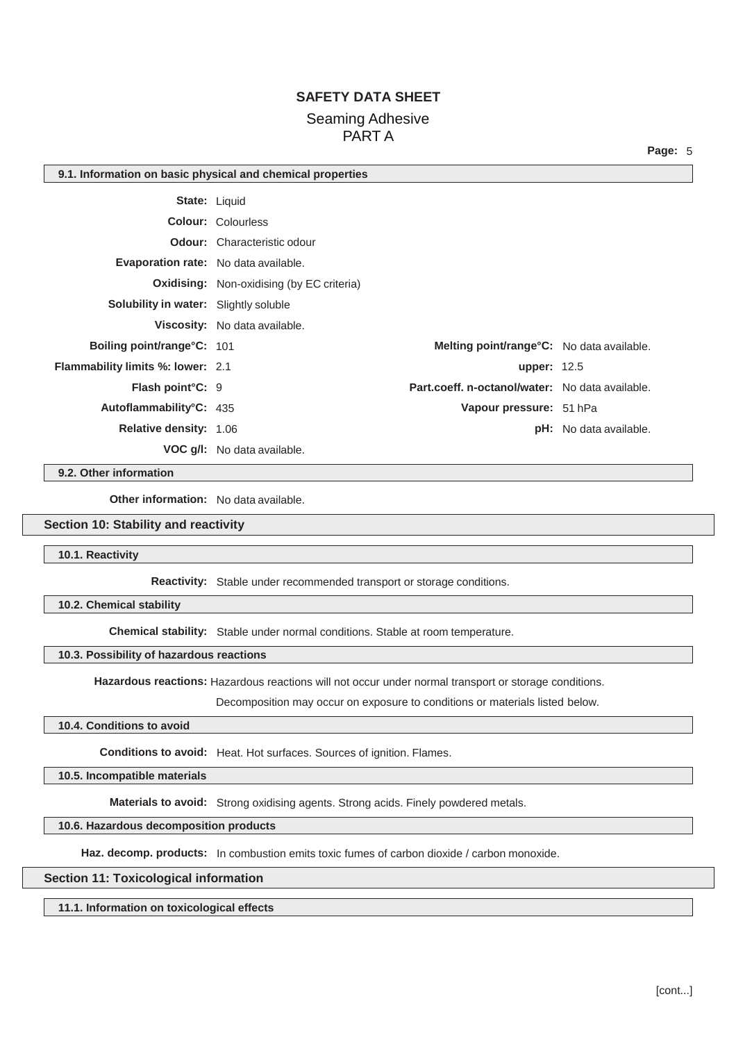**Page:** 5

|                                             | 9.1. Information on basic physical and chemical properties |                                                   |                               |  |  |
|---------------------------------------------|------------------------------------------------------------|---------------------------------------------------|-------------------------------|--|--|
|                                             | <b>State: Liquid</b>                                       |                                                   |                               |  |  |
|                                             | <b>Colour: Colourless</b>                                  |                                                   |                               |  |  |
|                                             | <b>Odour:</b> Characteristic odour                         |                                                   |                               |  |  |
| <b>Evaporation rate:</b> No data available. |                                                            |                                                   |                               |  |  |
|                                             | <b>Oxidising:</b> Non-oxidising (by EC criteria)           |                                                   |                               |  |  |
| Solubility in water: Slightly soluble       |                                                            |                                                   |                               |  |  |
|                                             | Viscosity: No data available.                              |                                                   |                               |  |  |
| <b>Boiling point/range°C: 101</b>           |                                                            | <b>Melting point/range °C:</b> No data available. |                               |  |  |
| <b>Flammability limits %: lower: 2.1</b>    |                                                            | <b>upper: 12.5</b>                                |                               |  |  |
| Flash point°C: 9                            |                                                            | Part.coeff. n-octanol/water: No data available.   |                               |  |  |
| Autoflammability°C: 435                     |                                                            | Vapour pressure: 51 hPa                           |                               |  |  |
| <b>Relative density: 1.06</b>               |                                                            |                                                   | <b>pH:</b> No data available. |  |  |
|                                             | <b>VOC g/l:</b> No data available.                         |                                                   |                               |  |  |

#### **9.2. Other information**

**Other information:** No data available.

## **Section 10: Stability and reactivity**

**10.1. Reactivity**

**Reactivity:** Stable under recommended transport or storage conditions.

**10.2. Chemical stability**

**Chemical stability:** Stable under normal conditions. Stable at room temperature.

#### **10.3. Possibility of hazardous reactions**

**Hazardous reactions:** Hazardous reactions will not occur under normal transport or storage conditions.

Decomposition may occur on exposure to conditions or materials listed below.

## **10.4. Conditions to avoid**

**Conditions to avoid:** Heat. Hot surfaces. Sources of ignition. Flames.

#### **10.5. Incompatible materials**

**Materials to avoid:** Strong oxidising agents. Strong acids. Finely powdered metals.

#### **10.6. Hazardous decomposition products**

Haz. decomp. products: In combustion emits toxic fumes of carbon dioxide / carbon monoxide.

#### **Section 11: Toxicological information**

**11.1. Information on toxicological effects**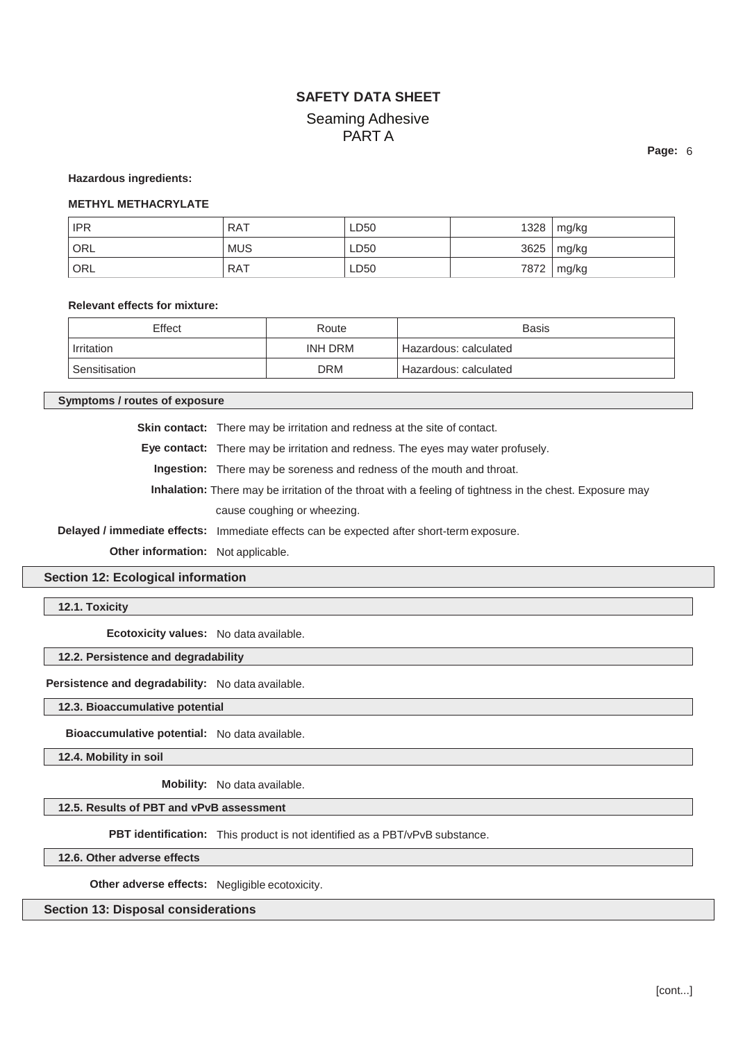**Hazardous ingredients:** 

## **METHYL METHACRYLATE**

| <b>IPR</b> | <b>RAT</b> | LD50 | 1328 mg/kg |
|------------|------------|------|------------|
| ORL        | <b>MUS</b> | LD50 | 3625 mg/kg |
| ORL        | <b>RAT</b> | LD50 | 7872 mg/kg |

#### **Relevant effects for mixture:**

| Effect        | Route      | Basis                 |
|---------------|------------|-----------------------|
| Irritation    | INH DRM    | Hazardous: calculated |
| Sensitisation | <b>DRM</b> | Hazardous: calculated |

**Symptoms / routes of exposure**

**Skin contact:** There may be irritation and redness at the site of contact.

**Eye contact:** There may be irritation and redness. The eyes may water profusely.

**Ingestion:** There may be soreness and redness of the mouth and throat.

**Inhalation:** There may be irritation of the throat with a feeling of tightness in the chest. Exposure may cause coughing or wheezing.

**Delayed / immediate effects:** Immediate effects can be expected after short-term exposure.

**Other information:** Not applicable.

## **Section 12: Ecological information**

**12.1. Toxicity**

**Ecotoxicity values:** No data available.

#### **12.2. Persistence and degradability**

**Persistence and degradability:** No data available.

### **12.3. Bioaccumulative potential**

**Bioaccumulative potential:** No data available.

**12.4. Mobility in soil**

**Mobility:** No data available.

## **12.5. Results of PBT and vPvB assessment**

**PBT identification:** This product is not identified as a PBT/vPvB substance.

**12.6. Other adverse effects**

**Other adverse effects:** Negligible ecotoxicity.

## **Section 13: Disposal considerations**

**Page:** 6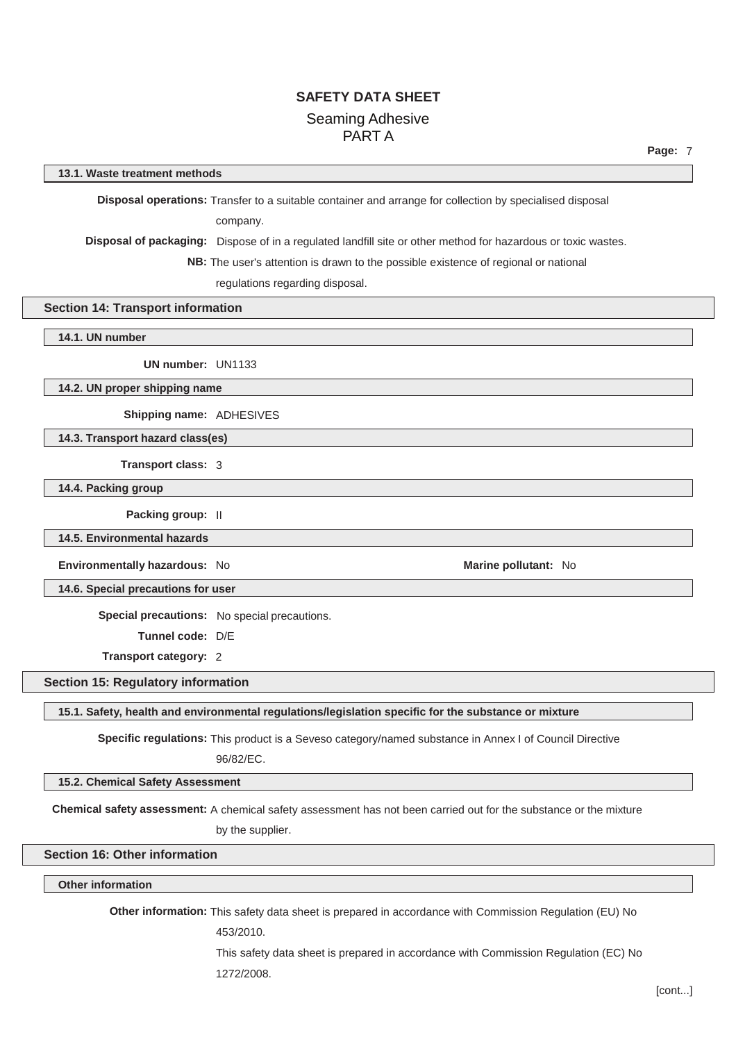#### **13.1. Waste treatment methods**

**Disposal operations:** Transfer to a suitable container and arrange for collection by specialised disposal

company.

**Disposal of packaging:** Dispose of in a regulated landfill site or other method for hazardous or toxic wastes.

**NB:** The user's attention is drawn to the possible existence of regional or national

regulations regarding disposal.

### **Section 14: Transport information**

**14.1. UN number**

**UN number:** UN1133

**14.2. UN proper shipping name**

**Shipping name:** ADHESIVES

**14.3. Transport hazard class(es)**

**Transport class:** 3

**14.4. Packing group**

**Packing group:** II

**14.5. Environmental hazards**

**Environmentally hazardous:** No **Marine pollutant:** No

**14.6. Special precautions for user**

**Special precautions:** No special precautions.

**Tunnel code:** D/E

**Transport category:** 2

**Section 15: Regulatory information**

**15.1. Safety, health and environmental regulations/legislation specific for the substance or mixture**

**Specific regulations:** This product is a Seveso category/named substance in Annex I of Council Directive 96/82/EC.

**15.2. Chemical Safety Assessment**

**Chemical safety assessment:** A chemical safety assessment has not been carried out for the substance or the mixture

by the supplier.

**Section 16: Other information**

**Other information**

**Other information:** This safety data sheet is prepared in accordance with Commission Regulation (EU) No

453/2010.

This safety data sheet is prepared in accordance with Commission Regulation (EC) No 1272/2008.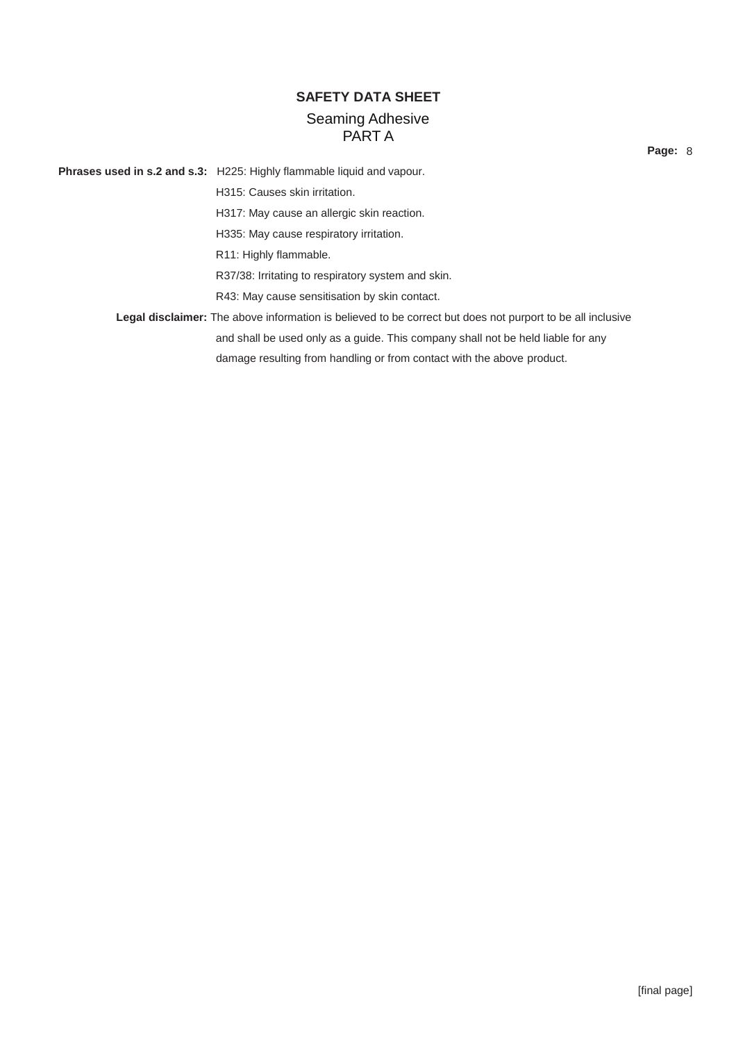**Page:** 8

**Phrases used in s.2 and s.3:** H225: Highly flammable liquid and vapour. H315: Causes skin irritation. H317: May cause an allergic skin reaction. H335: May cause respiratory irritation. R11: Highly flammable. R37/38: Irritating to respiratory system and skin. R43: May cause sensitisation by skin contact. **Legal disclaimer:** The above information is believed to be correct but does not purport to be all inclusive and shall be used only as a guide. This company shall not be held liable for any damage resulting from handling or from contact with the above product.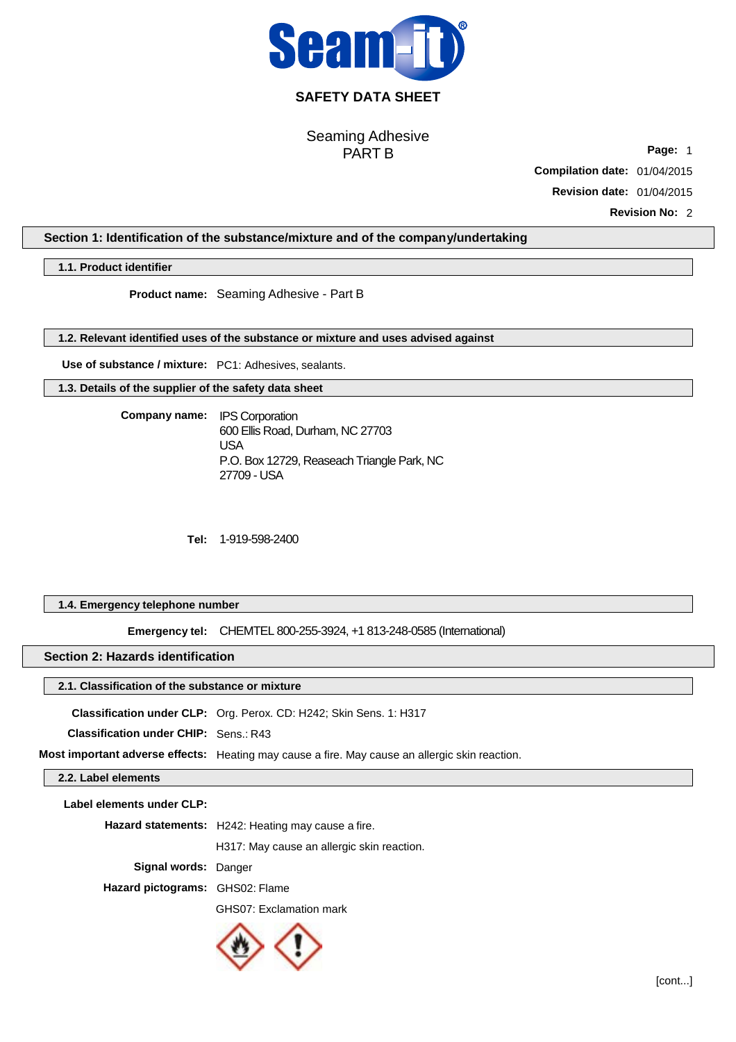

## **SAFETY DATA SHEET**

Seaming Adhesive PART B

**Page:** 1

**Compilation date:** 01/04/2015

**Revision date:** 01/04/2015

**Revision No:** 2

## **Section 1: Identification of the substance/mixture and of the company/undertaking**

**1.1. Product identifier**

**Product name:**  Seaming Adhesive - Part B

**1.2. Relevant identified uses of the substance or mixture and uses advised against**

**Use of substance / mixture:** PC1: Adhesives, sealants.

**1.3. Details of the supplier of the safety data sheet**

**Company name:**  IPS Corporation 600 Ellis Road, Durham, NC 27703 USA P.O. Box 12729, Reaseach Triangle Park, NC 27709 - USA

**Tel:**  1-919-598-2400

## **1.4. Emergency telephone number**

**Emergency tel:**  CHEMTEL 800-255-3924, +1 813-248-0585 (International)

## **Section 2: Hazards identification**

## **2.1. Classification of the substance or mixture**

**Classification under CLP:** Org. Perox. CD: H242; Skin Sens. 1: H317

**Classification under CHIP:** Sens.: R43

**Most important adverse effects:** Heating may cause a fire. May cause an allergic skin reaction.

**2.2. Label elements**

| Label elements under CLP:       |                                                    |
|---------------------------------|----------------------------------------------------|
|                                 | Hazard statements: H242: Heating may cause a fire. |
|                                 | H317: May cause an allergic skin reaction.         |
| <b>Signal words: Danger</b>     |                                                    |
| Hazard pictograms: GHS02: Flame |                                                    |
|                                 | GHS07: Exclamation mark                            |

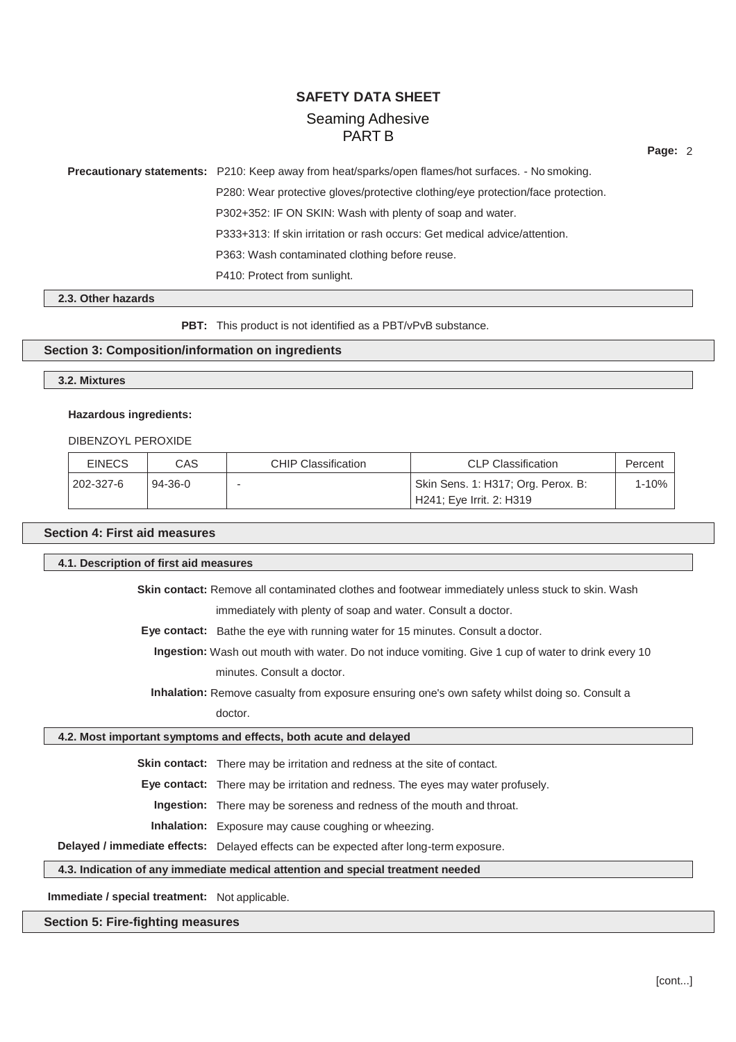**Page:** 2

**Precautionary statements:** P210: Keep away from heat/sparks/open flames/hot surfaces. - No smoking. P280: Wear protective gloves/protective clothing/eye protection/face protection. P302+352: IF ON SKIN: Wash with plenty of soap and water. P333+313: If skin irritation or rash occurs: Get medical advice/attention. P363: Wash contaminated clothing before reuse. P410: Protect from sunlight.

#### **2.3. Other hazards**

PBT: This product is not identified as a PBT/vPvB substance.

### **Section 3: Composition/information on ingredients**

## **3.2. Mixtures**

## **Hazardous ingredients:**

## DIBENZOYL PEROXIDE

| <b>EINECS</b> | CAS           | <b>CHIP Classification</b> | <b>CLP Classification</b>          | Percent |
|---------------|---------------|----------------------------|------------------------------------|---------|
| 202-327-6     | $94 - 36 - 0$ |                            | Skin Sens. 1: H317; Org. Perox. B: | 1-10%   |
|               |               |                            | H241; Eye Irrit. 2: H319           |         |

## **Section 4: First aid measures**

| 4.1. Description of first aid measures                                                                   |                                                                                                       |  |  |  |
|----------------------------------------------------------------------------------------------------------|-------------------------------------------------------------------------------------------------------|--|--|--|
| <b>Skin contact:</b> Remove all contaminated clothes and footwear immediately unless stuck to skin. Wash |                                                                                                       |  |  |  |
|                                                                                                          | immediately with plenty of soap and water. Consult a doctor.                                          |  |  |  |
| Eye contact: Bathe the eye with running water for 15 minutes. Consult a doctor.                          |                                                                                                       |  |  |  |
|                                                                                                          | Ingestion: Wash out mouth with water. Do not induce vomiting. Give 1 cup of water to drink every 10   |  |  |  |
|                                                                                                          | minutes. Consult a doctor.                                                                            |  |  |  |
|                                                                                                          | <b>Inhalation:</b> Remove casualty from exposure ensuring one's own safety whilst doing so. Consult a |  |  |  |
|                                                                                                          | doctor.                                                                                               |  |  |  |
|                                                                                                          | 4.2. Most important symptoms and effects, both acute and delayed                                      |  |  |  |
|                                                                                                          | <b>Skin contact:</b> There may be irritation and redness at the site of contact.                      |  |  |  |
|                                                                                                          | <b>Eye contact:</b> There may be irritation and redness. The eyes may water profusely.                |  |  |  |
|                                                                                                          | <b>Ingestion:</b> There may be soreness and redness of the mouth and throat.                          |  |  |  |
|                                                                                                          | <b>Inhalation:</b> Exposure may cause coughing or wheezing.                                           |  |  |  |
|                                                                                                          | Delayed / immediate effects: Delayed effects can be expected after long-term exposure.                |  |  |  |
|                                                                                                          | 4.3. Indication of any immediate medical attention and special treatment needed                       |  |  |  |

**Immediate / special treatment:** Not applicable.

## **Section 5: Fire-fighting measures**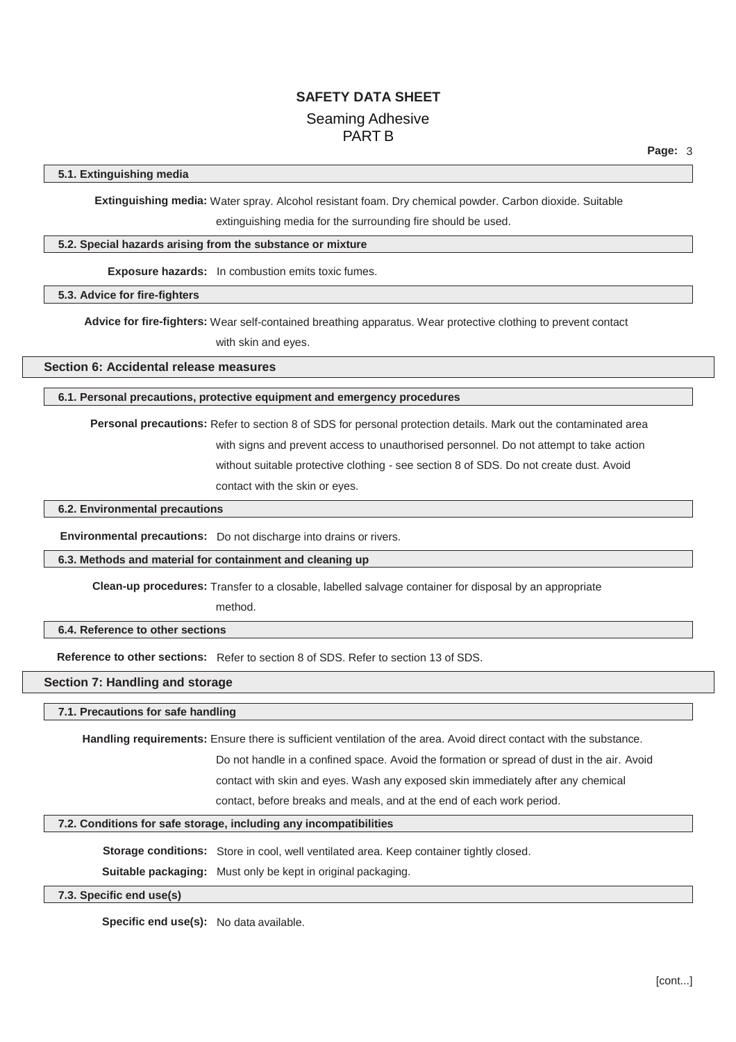#### **5.1. Extinguishing media**

**Extinguishing media:** Water spray. Alcohol resistant foam. Dry chemical powder. Carbon dioxide. Suitable

extinguishing media for the surrounding fire should be used.

## **5.2. Special hazards arising from the substance or mixture**

**Exposure hazards:** In combustion emits toxic fumes.

**5.3. Advice for fire-fighters**

**Advice for fire-fighters:** Wear self-contained breathing apparatus. Wear protective clothing to prevent contact

with skin and eyes.

**Section 6: Accidental release measures**

#### **6.1. Personal precautions, protective equipment and emergency procedures**

**Personal precautions:** Refer to section 8 of SDS for personal protection details. Mark out the contaminated area with signs and prevent access to unauthorised personnel. Do not attempt to take action without suitable protective clothing - see section 8 of SDS. Do not create dust. Avoid contact with the skin or eyes.

#### **6.2. Environmental precautions**

**Environmental precautions:** Do not discharge into drains or rivers.

method.

#### **6.3. Methods and material for containment and cleaning up**

**Clean-up procedures:** Transfer to a closable, labelled salvage container for disposal by an appropriate

## **6.4. Reference to other sections**

**Reference to other sections:** Refer to section 8 of SDS. Refer to section 13 of SDS.

## **Section 7: Handling and storage**

### **7.1. Precautions for safe handling**

**Handling requirements:** Ensure there is sufficient ventilation of the area. Avoid direct contact with the substance.

Do not handle in a confined space. Avoid the formation or spread of dust in the air. Avoid

contact with skin and eyes. Wash any exposed skin immediately after any chemical

contact, before breaks and meals, and at the end of each work period.

### **7.2. Conditions for safe storage, including any incompatibilities**

**Storage conditions:** Store in cool, well ventilated area. Keep container tightly closed.

**Suitable packaging:** Must only be kept in original packaging.

### **7.3. Specific end use(s)**

**Specific end use(s):** No data available.

**Page:** 3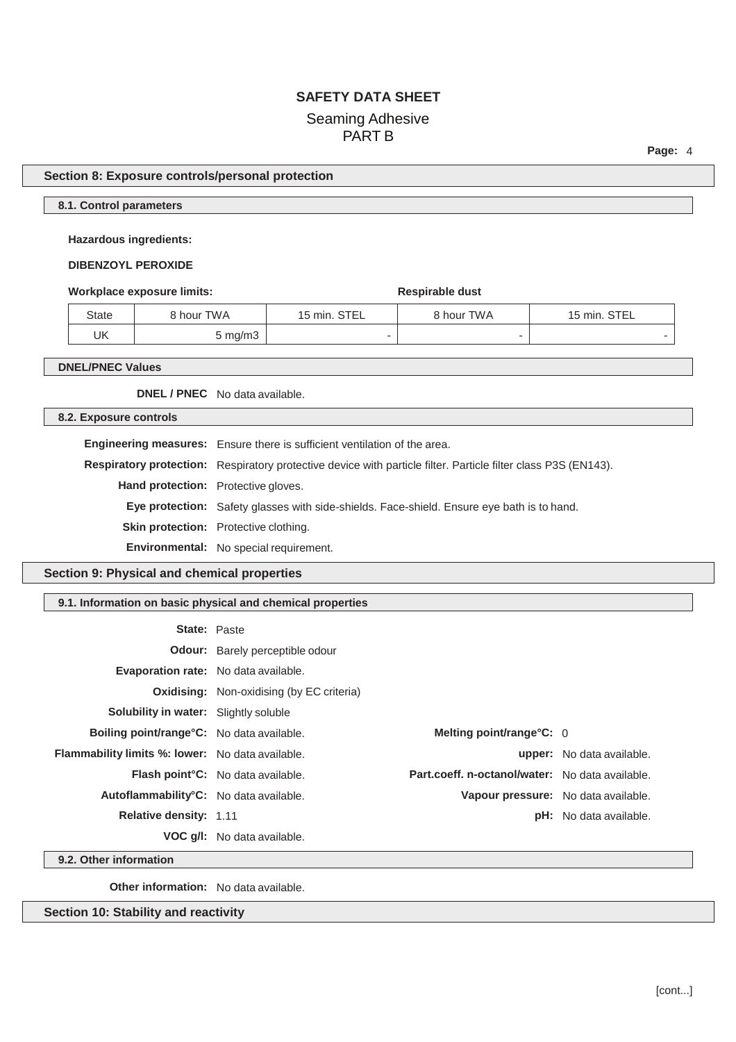**Page:** 4

## **Section 8: Exposure controls/personal protection**

## **8.1. Control parameters**

#### **Hazardous ingredients:**

## **DIBENZOYL PEROXIDE**

#### **Workplace exposure limits: Respirable dust Respirable dust**

| State | ९ hour TWA | 15 min. STEL             | 8 hour TWA | 15 min. STEL             |
|-------|------------|--------------------------|------------|--------------------------|
| UK    | 5 mg/m3    | $\overline{\phantom{a}}$ |            | $\overline{\phantom{a}}$ |

**DNEL/PNEC Values**

**DNEL / PNEC** No data available.

## **8.2. Exposure controls**

**Engineering measures:** Ensure there is sufficient ventilation of the area. **Respiratory protection:** Respiratory protective device with particle filter. Particle filter class P3S (EN143).

**Hand protection:** Protective gloves.

**Eye protection:** Safety glasses with side-shields. Face-shield. Ensure eye bath is to hand.

**Skin protection:** Protective clothing.

**Environmental:** No special requirement.

**Section 9: Physical and chemical properties**

## **9.1. Information on basic physical and chemical properties**

| <b>State: Paste</b>                                     |                                                  |                                                 |                                  |
|---------------------------------------------------------|--------------------------------------------------|-------------------------------------------------|----------------------------------|
|                                                         | <b>Odour:</b> Barely perceptible odour           |                                                 |                                  |
| Evaporation rate: No data available.                    |                                                  |                                                 |                                  |
|                                                         | <b>Oxidising:</b> Non-oxidising (by EC criteria) |                                                 |                                  |
| <b>Solubility in water:</b> Slightly soluble            |                                                  |                                                 |                                  |
| <b>Boiling point/range °C:</b> No data available.       |                                                  | Melting point/range $C: 0$                      |                                  |
| <b>Flammability limits %: lower:</b> No data available. |                                                  |                                                 | <b>upper:</b> No data available. |
|                                                         | <b>Flash point °C:</b> No data available.        | Part.coeff. n-octanol/water: No data available. |                                  |
| Autoflammability <sup>°</sup> C: No data available.     |                                                  | Vapour pressure: No data available.             |                                  |
| Relative density: 1.11                                  |                                                  |                                                 | <b>pH:</b> No data available.    |
|                                                         | <b>VOC g/l:</b> No data available.               |                                                 |                                  |

**9.2. Other information**

**Other information:** No data available.

**Section 10: Stability and reactivity**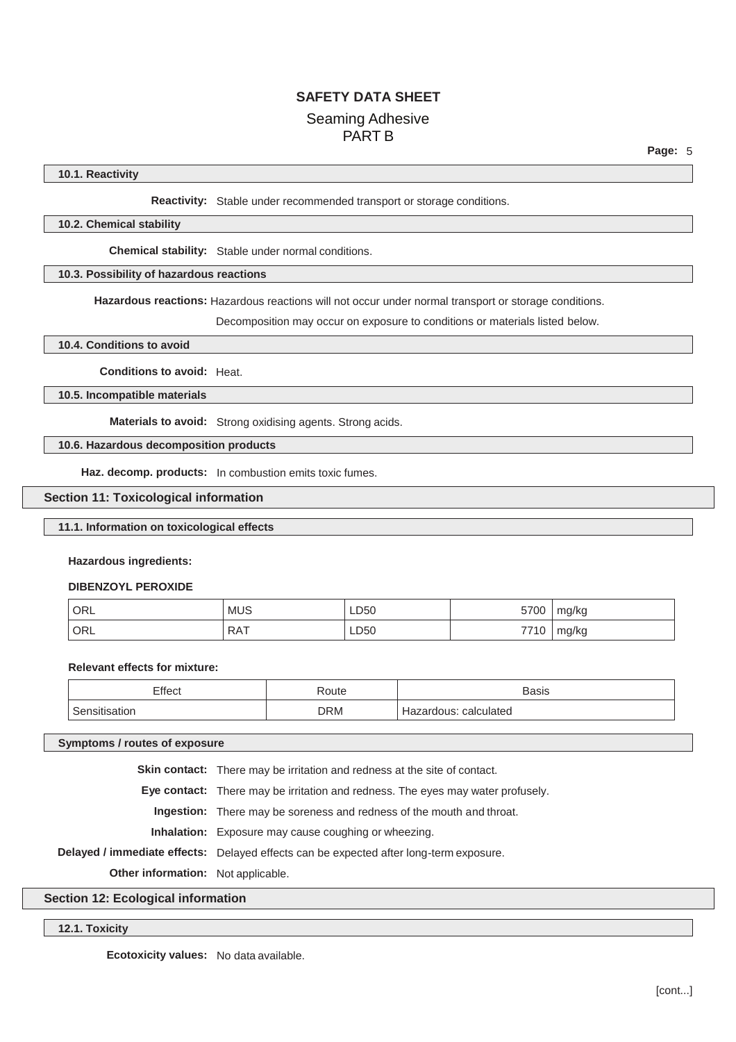#### **10.1. Reactivity**

**Reactivity:** Stable under recommended transport or storage conditions.

#### **10.2. Chemical stability**

**Chemical stability:** Stable under normal conditions.

#### **10.3. Possibility of hazardous reactions**

**Hazardous reactions:** Hazardous reactions will not occur under normal transport or storage conditions.

Decomposition may occur on exposure to conditions or materials listed below.

### **10.4. Conditions to avoid**

**Conditions to avoid:** Heat.

#### **10.5. Incompatible materials**

**Materials to avoid:** Strong oxidising agents. Strong acids.

## **10.6. Hazardous decomposition products**

**Haz. decomp. products:** In combustion emits toxic fumes.

#### **Section 11: Toxicological information**

#### **11.1. Information on toxicological effects**

#### **Hazardous ingredients:**

#### **DIBENZOYL PEROXIDE**

| ORL | <b>MUS</b> | LD50 | 5700        | mg/kg |
|-----|------------|------|-------------|-------|
| ORL | <b>RAT</b> | LD50 | 7710<br>1 U | mg/kg |

#### **Relevant effects for mixture:**

| Effect | Route | <b>Basis</b>                        |
|--------|-------|-------------------------------------|
| satıor | DRM   | calculated<br>dous:<br><u>iazai</u> |

#### **Symptoms / routes of exposure**

**Skin contact:** There may be irritation and redness at the site of contact.

**Eye contact:** There may be irritation and redness. The eyes may water profusely.

**Ingestion:** There may be soreness and redness of the mouth and throat.

**Inhalation:** Exposure may cause coughing or wheezing.

**Delayed / immediate effects:** Delayed effects can be expected after long-term exposure.

**Other information:** Not applicable.

## **Section 12: Ecological information**

#### **12.1. Toxicity**

**Ecotoxicity values:** No data available.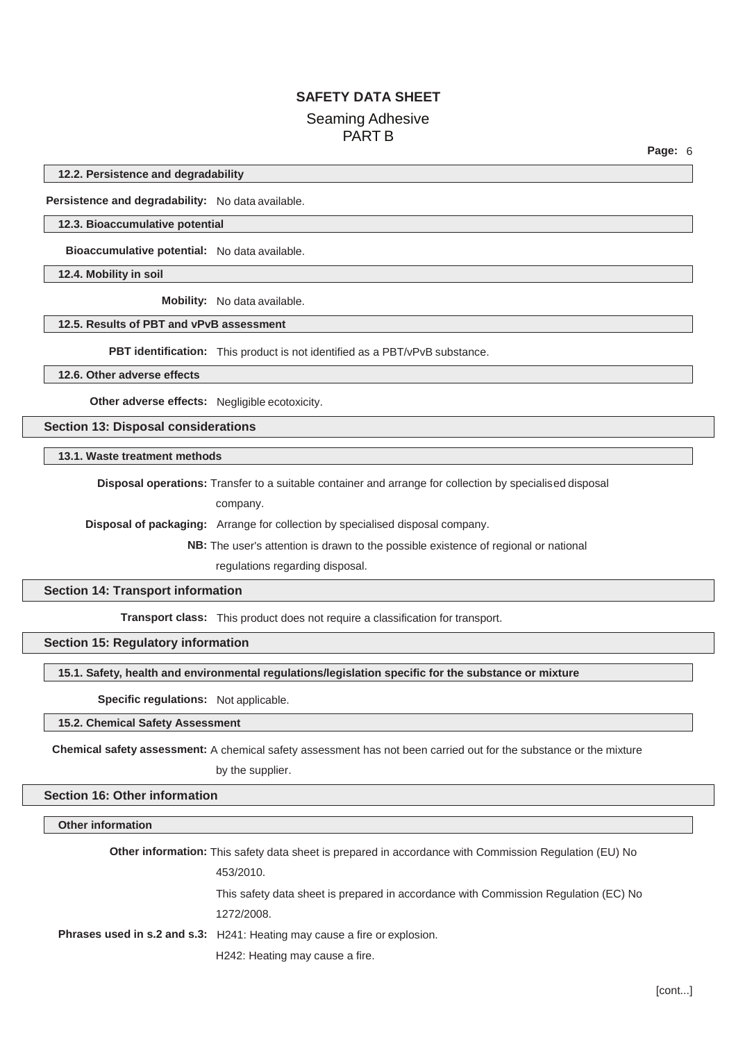**12.2. Persistence and degradability**

**Persistence and degradability:** No data available.

#### **12.3. Bioaccumulative potential**

**Bioaccumulative potential:** No data available.

**12.4. Mobility in soil**

**Mobility:** No data available.

## **12.5. Results of PBT and vPvB assessment**

**PBT identification:** This product is not identified as a PBT/vPvB substance.

### **12.6. Other adverse effects**

**Other adverse effects:** Negligible ecotoxicity.

**Section 13: Disposal considerations**

**13.1. Waste treatment methods**

**Disposal operations:** Transfer to a suitable container and arrange for collection by specialised disposal

company.

**Disposal of packaging:** Arrange for collection by specialised disposal company.

**NB:** The user's attention is drawn to the possible existence of regional or national regulations regarding disposal.

#### **Section 14: Transport information**

**Transport class:** This product does not require a classification for transport.

## **Section 15: Regulatory information**

**15.1. Safety, health and environmental regulations/legislation specific for the substance or mixture**

### **Specific regulations:** Not applicable.

### **15.2. Chemical Safety Assessment**

**Chemical safety assessment:** A chemical safety assessment has not been carried out for the substance or the mixture

by the supplier.

#### **Section 16: Other information**

#### **Other information**

**Other information:** This safety data sheet is prepared in accordance with Commission Regulation (EU) No 453/2010. This safety data sheet is prepared in accordance with Commission Regulation (EC) No 1272/2008. **Phrases used in s.2 and s.3:** H241: Heating may cause a fire or explosion. H242: Heating may cause a fire.

**Page:** 6